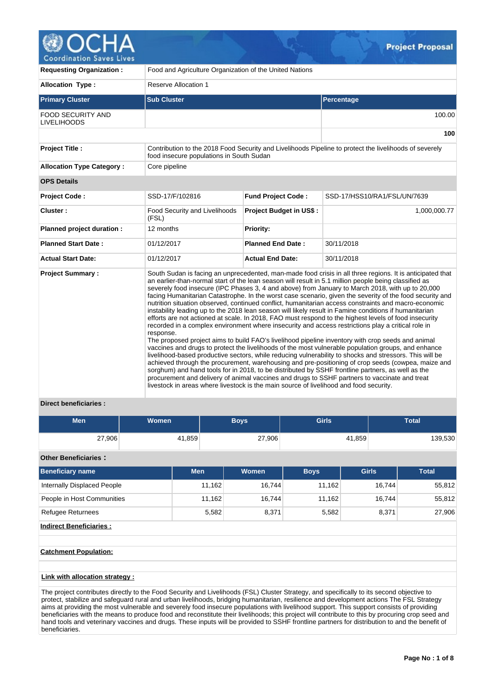

| <b>Requesting Organization:</b>                | Food and Agriculture Organization of the United Nations                                             |                                |                                                                                                                                                                                                                                                                                                                                                                                                                                                                                                                                                                                                                                                                                                                                                                                                                                                                                                                                                                                                                                                                                                                                                                                                                                                                                                                                                                                                                                                                                                        |  |  |  |  |  |  |
|------------------------------------------------|-----------------------------------------------------------------------------------------------------|--------------------------------|--------------------------------------------------------------------------------------------------------------------------------------------------------------------------------------------------------------------------------------------------------------------------------------------------------------------------------------------------------------------------------------------------------------------------------------------------------------------------------------------------------------------------------------------------------------------------------------------------------------------------------------------------------------------------------------------------------------------------------------------------------------------------------------------------------------------------------------------------------------------------------------------------------------------------------------------------------------------------------------------------------------------------------------------------------------------------------------------------------------------------------------------------------------------------------------------------------------------------------------------------------------------------------------------------------------------------------------------------------------------------------------------------------------------------------------------------------------------------------------------------------|--|--|--|--|--|--|
| <b>Allocation Type:</b>                        | <b>Reserve Allocation 1</b>                                                                         |                                |                                                                                                                                                                                                                                                                                                                                                                                                                                                                                                                                                                                                                                                                                                                                                                                                                                                                                                                                                                                                                                                                                                                                                                                                                                                                                                                                                                                                                                                                                                        |  |  |  |  |  |  |
| <b>Primary Cluster</b>                         | <b>Sub Cluster</b>                                                                                  |                                | Percentage                                                                                                                                                                                                                                                                                                                                                                                                                                                                                                                                                                                                                                                                                                                                                                                                                                                                                                                                                                                                                                                                                                                                                                                                                                                                                                                                                                                                                                                                                             |  |  |  |  |  |  |
| <b>FOOD SECURITY AND</b><br><b>LIVELIHOODS</b> |                                                                                                     |                                | 100.00                                                                                                                                                                                                                                                                                                                                                                                                                                                                                                                                                                                                                                                                                                                                                                                                                                                                                                                                                                                                                                                                                                                                                                                                                                                                                                                                                                                                                                                                                                 |  |  |  |  |  |  |
|                                                |                                                                                                     |                                | 100                                                                                                                                                                                                                                                                                                                                                                                                                                                                                                                                                                                                                                                                                                                                                                                                                                                                                                                                                                                                                                                                                                                                                                                                                                                                                                                                                                                                                                                                                                    |  |  |  |  |  |  |
| <b>Project Title:</b>                          | food insecure populations in South Sudan                                                            |                                | Contribution to the 2018 Food Security and Livelihoods Pipeline to protect the livelihoods of severely                                                                                                                                                                                                                                                                                                                                                                                                                                                                                                                                                                                                                                                                                                                                                                                                                                                                                                                                                                                                                                                                                                                                                                                                                                                                                                                                                                                                 |  |  |  |  |  |  |
| <b>Allocation Type Category:</b>               | Core pipeline                                                                                       |                                |                                                                                                                                                                                                                                                                                                                                                                                                                                                                                                                                                                                                                                                                                                                                                                                                                                                                                                                                                                                                                                                                                                                                                                                                                                                                                                                                                                                                                                                                                                        |  |  |  |  |  |  |
| <b>OPS Details</b>                             |                                                                                                     |                                |                                                                                                                                                                                                                                                                                                                                                                                                                                                                                                                                                                                                                                                                                                                                                                                                                                                                                                                                                                                                                                                                                                                                                                                                                                                                                                                                                                                                                                                                                                        |  |  |  |  |  |  |
| <b>Project Code:</b>                           | SSD-17/F/102816                                                                                     | <b>Fund Project Code:</b>      | SSD-17/HSS10/RA1/FSL/UN/7639                                                                                                                                                                                                                                                                                                                                                                                                                                                                                                                                                                                                                                                                                                                                                                                                                                                                                                                                                                                                                                                                                                                                                                                                                                                                                                                                                                                                                                                                           |  |  |  |  |  |  |
| Cluster:                                       | Food Security and Livelihoods<br>(FSL)                                                              | <b>Project Budget in US\$:</b> | 1,000,000.77                                                                                                                                                                                                                                                                                                                                                                                                                                                                                                                                                                                                                                                                                                                                                                                                                                                                                                                                                                                                                                                                                                                                                                                                                                                                                                                                                                                                                                                                                           |  |  |  |  |  |  |
| Planned project duration :                     | 12 months                                                                                           | Priority:                      |                                                                                                                                                                                                                                                                                                                                                                                                                                                                                                                                                                                                                                                                                                                                                                                                                                                                                                                                                                                                                                                                                                                                                                                                                                                                                                                                                                                                                                                                                                        |  |  |  |  |  |  |
| <b>Planned Start Date:</b>                     | 01/12/2017                                                                                          | <b>Planned End Date:</b>       | 30/11/2018                                                                                                                                                                                                                                                                                                                                                                                                                                                                                                                                                                                                                                                                                                                                                                                                                                                                                                                                                                                                                                                                                                                                                                                                                                                                                                                                                                                                                                                                                             |  |  |  |  |  |  |
| <b>Actual Start Date:</b>                      | 01/12/2017                                                                                          | <b>Actual End Date:</b>        | 30/11/2018                                                                                                                                                                                                                                                                                                                                                                                                                                                                                                                                                                                                                                                                                                                                                                                                                                                                                                                                                                                                                                                                                                                                                                                                                                                                                                                                                                                                                                                                                             |  |  |  |  |  |  |
| <b>Project Summary:</b>                        | response.<br>livestock in areas where livestock is the main source of livelihood and food security. |                                | South Sudan is facing an unprecedented, man-made food crisis in all three regions. It is anticipated that<br>an earlier-than-normal start of the lean season will result in 5.1 million people being classified as<br>severely food insecure (IPC Phases 3, 4 and above) from January to March 2018, with up to 20,000<br>facing Humanitarian Catastrophe. In the worst case scenario, given the severity of the food security and<br>nutrition situation observed, continued conflict, humanitarian access constraints and macro-economic<br>instability leading up to the 2018 lean season will likely result in Famine conditions if humanitarian<br>efforts are not actioned at scale. In 2018, FAO must respond to the highest levels of food insecurity<br>recorded in a complex environment where insecurity and access restrictions play a critical role in<br>The proposed project aims to build FAO's livelihood pipeline inventory with crop seeds and animal<br>vaccines and drugs to protect the livelihoods of the most vulnerable population groups, and enhance<br>livelihood-based productive sectors, while reducing vulnerability to shocks and stressors. This will be<br>achieved through the procurement, warehousing and pre-positioning of crop seeds (cowpea, maize and<br>sorghum) and hand tools for in 2018, to be distributed by SSHF frontline partners, as well as the<br>procurement and delivery of animal vaccines and drugs to SSHF partners to vaccinate and treat |  |  |  |  |  |  |

## **Direct beneficiaries :**

| <b>Men</b> | <b>Women</b> | <b>Boys</b> | <b>Girls</b> | Total   |
|------------|--------------|-------------|--------------|---------|
| 27,906     | 41,859       | 27,906      | 41,859       | 139,530 |

## **Other Beneficiaries :**

| <b>Beneficiary name</b>        | <b>Men</b> | <b>Women</b> | <b>Boys</b> | <b>Girls</b> | <b>Total</b> |
|--------------------------------|------------|--------------|-------------|--------------|--------------|
| Internally Displaced People    | 11,162     | 16,744       | 11,162      | 16,744       | 55,812       |
| People in Host Communities     | 11.162     | 16,744       | 11,162      | 16,744       | 55,812       |
| <b>Refugee Returnees</b>       | 5,582      | 8,371        | 5,582       | 8,371        | 27,906       |
| <b>Indirect Beneficiaries:</b> |            |              |             |              |              |
|                                |            |              |             |              |              |

## **Catchment Population:**

# **Link with allocation strategy :**

The project contributes directly to the Food Security and Livelihoods (FSL) Cluster Strategy, and specifically to its second objective to protect, stabilize and safeguard rural and urban livelihoods, bridging humanitarian, resilience and development actions The FSL Strategy aims at providing the most vulnerable and severely food insecure populations with livelihood support. This support consists of providing beneficiaries with the means to produce food and reconstitute their livelihoods; this project will contribute to this by procuring crop seed and hand tools and veterinary vaccines and drugs. These inputs will be provided to SSHF frontline partners for distribution to and the benefit of beneficiaries.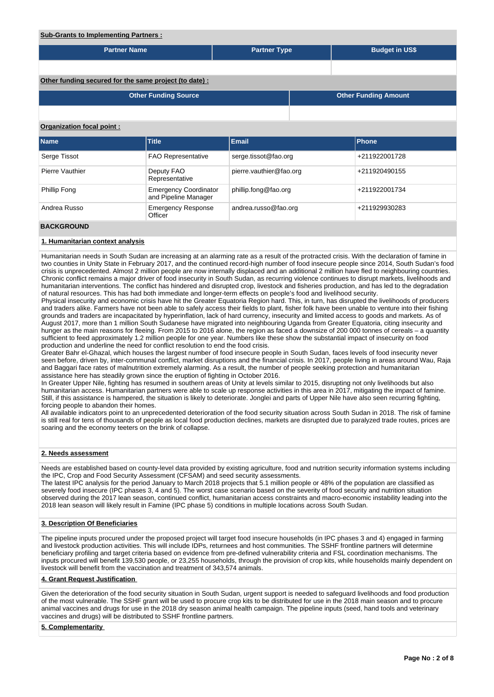# **Sub-Grants to Implementing Partners :**

| Sub-Grants to implementing Partners :                  |                                                      |                         |                             |  |  |  |  |  |  |  |
|--------------------------------------------------------|------------------------------------------------------|-------------------------|-----------------------------|--|--|--|--|--|--|--|
| <b>Partner Name</b>                                    |                                                      | <b>Partner Type</b>     | <b>Budget in US\$</b>       |  |  |  |  |  |  |  |
|                                                        |                                                      |                         |                             |  |  |  |  |  |  |  |
| Other funding secured for the same project (to date) : |                                                      |                         |                             |  |  |  |  |  |  |  |
|                                                        | <b>Other Funding Source</b>                          |                         | <b>Other Funding Amount</b> |  |  |  |  |  |  |  |
|                                                        |                                                      |                         |                             |  |  |  |  |  |  |  |
| Organization focal point:                              |                                                      |                         |                             |  |  |  |  |  |  |  |
| <b>Name</b>                                            | <b>Title</b>                                         | <b>Email</b>            | <b>Phone</b>                |  |  |  |  |  |  |  |
| Serge Tissot                                           | <b>FAO Representative</b>                            | serge.tissot@fao.org    | +211922001728               |  |  |  |  |  |  |  |
| Pierre Vauthier                                        | Deputy FAO<br>Representative                         | pierre.vauthier@fao.org | +211920490155               |  |  |  |  |  |  |  |
| Phillip Fong                                           | <b>Emergency Coordinator</b><br>and Pipeline Manager | phillip.fong@fao.org    | +211922001734               |  |  |  |  |  |  |  |
| Andrea Russo                                           | <b>Emergency Response</b><br>Officer                 | andrea.russo@fao.org    | +211929930283               |  |  |  |  |  |  |  |
| <b>BACKGROUND</b>                                      |                                                      |                         |                             |  |  |  |  |  |  |  |

#### **1. Humanitarian context analysis**

Humanitarian needs in South Sudan are increasing at an alarming rate as a result of the protracted crisis. With the declaration of famine in two counties in Unity State in February 2017, and the continued record-high number of food insecure people since 2014, South Sudan's food crisis is unprecedented. Almost 2 million people are now internally displaced and an additional 2 million have fled to neighbouring countries. Chronic conflict remains a major driver of food insecurity in South Sudan, as recurring violence continues to disrupt markets, livelihoods and humanitarian interventions. The conflict has hindered and disrupted crop, livestock and fisheries production, and has led to the degradation of natural resources. This has had both immediate and longer-term effects on people's food and livelihood security.

Physical insecurity and economic crisis have hit the Greater Equatoria Region hard. This, in turn, has disrupted the livelihoods of producers and traders alike. Farmers have not been able to safely access their fields to plant, fisher folk have been unable to venture into their fishing grounds and traders are incapacitated by hyperinflation, lack of hard currency, insecurity and limited access to goods and markets. As of August 2017, more than 1 million South Sudanese have migrated into neighbouring Uganda from Greater Equatoria, citing insecurity and hunger as the main reasons for fleeing. From 2015 to 2016 alone, the region as faced a downsize of 200 000 tonnes of cereals – a quantity sufficient to feed approximately 1.2 million people for one year. Numbers like these show the substantial impact of insecurity on food production and underline the need for conflict resolution to end the food crisis.

Greater Bahr el-Ghazal, which houses the largest number of food insecure people in South Sudan, faces levels of food insecurity never seen before, driven by, inter-communal conflict, market disruptions and the financial crisis. In 2017, people living in areas around Wau, Raja and Baggari face rates of malnutrition extremely alarming. As a result, the number of people seeking protection and humanitarian assistance here has steadily grown since the eruption of fighting in October 2016.

In Greater Upper Nile, fighting has resumed in southern areas of Unity at levels similar to 2015, disrupting not only livelihoods but also humanitarian access. Humanitarian partners were able to scale up response activities in this area in 2017, mitigating the impact of famine. Still, if this assistance is hampered, the situation is likely to deteriorate. Jonglei and parts of Upper Nile have also seen recurring fighting, forcing people to abandon their homes.

All available indicators point to an unprecedented deterioration of the food security situation across South Sudan in 2018. The risk of famine is still real for tens of thousands of people as local food production declines, markets are disrupted due to paralyzed trade routes, prices are soaring and the economy teeters on the brink of collapse.

### **2. Needs assessment**

Needs are established based on county-level data provided by existing agriculture, food and nutrition security information systems including the IPC, Crop and Food Security Assessment (CFSAM) and seed security assessments. The latest IPC analysis for the period January to March 2018 projects that 5.1 million people or 48% of the population are classified as severely food insecure (IPC phases 3, 4 and 5). The worst case scenario based on the severity of food security and nutrition situation

observed during the 2017 lean season, continued conflict, humanitarian access constraints and macro-economic instability leading into the 2018 lean season will likely result in Famine (IPC phase 5) conditions in multiple locations across South Sudan.

## **3. Description Of Beneficiaries**

The pipeline inputs procured under the proposed project will target food insecure households (in IPC phases 3 and 4) engaged in farming and livestock production activities. This will include IDPs, returnees and host communities. The SSHF frontline partners will determine beneficiary profiling and target criteria based on evidence from pre-defined vulnerability criteria and FSL coordination mechanisms. The inputs procured will benefit 139,530 people, or 23,255 households, through the provision of crop kits, while households mainly dependent on livestock will benefit from the vaccination and treatment of 343,574 animals.

### **4. Grant Request Justification**

Given the deterioration of the food security situation in South Sudan, urgent support is needed to safeguard livelihoods and food production of the most vulnerable. The SSHF grant will be used to procure crop kits to be distributed for use in the 2018 main season and to procure animal vaccines and drugs for use in the 2018 dry season animal health campaign. The pipeline inputs (seed, hand tools and veterinary vaccines and drugs) will be distributed to SSHF frontline partners.

### **5. Complementarity**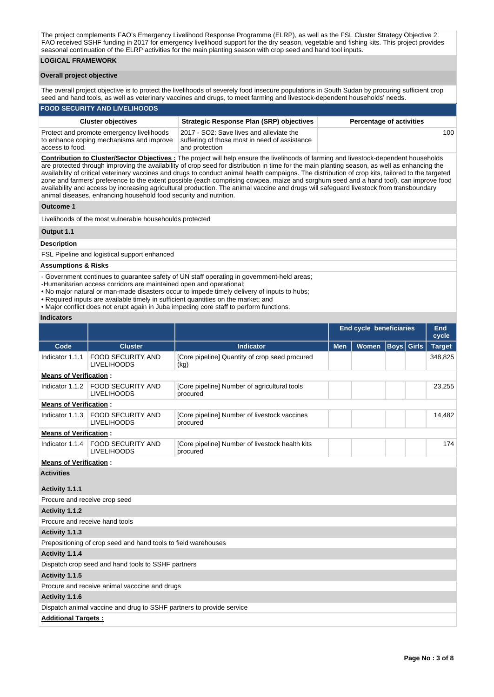The project complements FAO's Emergency Livelihood Response Programme (ELRP), as well as the FSL Cluster Strategy Objective 2. FAO received SSHF funding in 2017 for emergency livelihood support for the dry season, vegetable and fishing kits. This project provides seasonal continuation of the ELRP activities for the main planting season with crop seed and hand tool inputs.

## **LOGICAL FRAMEWORK**

### **Overall project objective**

The overall project objective is to protect the livelihoods of severely food insecure populations in South Sudan by procuring sufficient crop seed and hand tools, as well as veterinary vaccines and drugs, to meet farming and livestock-dependent households' needs.

#### **FOOD SECURITY AND LIVELIHOODS**

| <b>Cluster objectives</b>                                                                                | <b>Strategic Response Plan (SRP) objectives</b>                                                             | <b>Percentage of activities</b> |
|----------------------------------------------------------------------------------------------------------|-------------------------------------------------------------------------------------------------------------|---------------------------------|
| Protect and promote emergency livelihoods<br>to enhance coping mechanisms and improve<br>access to food. | 2017 - SO2: Save lives and alleviate the<br>suffering of those most in need of assistance<br>and protection | 100                             |

**Contribution to Cluster/Sector Objectives :** The project will help ensure the livelihoods of farming and livestock-dependent households are protected through improving the availability of crop seed for distribution in time for the main planting season, as well as enhancing the availability of critical veterinary vaccines and drugs to conduct animal health campaigns. The distribution of crop kits, tailored to the targeted zone and farmers' preference to the extent possible (each comprising cowpea, maize and sorghum seed and a hand tool), can improve food availability and access by increasing agricultural production. The animal vaccine and drugs will safeguard livestock from transboundary animal diseases, enhancing household food security and nutrition.

#### **Outcome 1**

Livelihoods of the most vulnerable househoulds protected

# **Output 1.1**

#### **Description**

FSL Pipeline and logistical support enhanced

### **Assumptions & Risks**

- Government continues to guarantee safety of UN staff operating in government-held areas;

- -Humanitarian access corridors are maintained open and operational;
- No major natural or man-made disasters occur to impede timely delivery of inputs to hubs;
- Required inputs are available timely in sufficient quantities on the market; and
- Major conflict does not erupt again in Juba impeding core staff to perform functions.

## **Indicators**

|                                |                                                                                                            |                                                             |            | <b>End cycle beneficiaries</b> |                   | End<br>cycle  |
|--------------------------------|------------------------------------------------------------------------------------------------------------|-------------------------------------------------------------|------------|--------------------------------|-------------------|---------------|
| Code                           | <b>Cluster</b>                                                                                             | <b>Indicator</b>                                            | <b>Men</b> | <b>Women</b>                   | <b>Boys</b> Girls | <b>Target</b> |
| Indicator 1.1.1                | <b>FOOD SECURITY AND</b><br><b>LIVELIHOODS</b>                                                             | [Core pipeline] Quantity of crop seed procured<br>(kg)      |            |                                |                   | 348,825       |
| <b>Means of Verification:</b>  |                                                                                                            |                                                             |            |                                |                   |               |
| Indicator 1.1.2                | <b>FOOD SECURITY AND</b><br><b>LIVELIHOODS</b>                                                             | [Core pipeline] Number of agricultural tools<br>procured    |            |                                |                   | 23,255        |
| <b>Means of Verification:</b>  |                                                                                                            |                                                             |            |                                |                   |               |
| Indicator 1.1.3                | <b>FOOD SECURITY AND</b><br>[Core pipeline] Number of livestock vaccines<br><b>LIVELIHOODS</b><br>procured |                                                             |            |                                |                   | 14,482        |
| <b>Means of Verification:</b>  |                                                                                                            |                                                             |            |                                |                   |               |
| Indicator 1.1.4                | <b>FOOD SECURITY AND</b><br><b>LIVELIHOODS</b>                                                             | [Core pipeline] Number of livestock health kits<br>procured |            |                                |                   | 174           |
| <b>Means of Verification:</b>  |                                                                                                            |                                                             |            |                                |                   |               |
| <b>Activities</b>              |                                                                                                            |                                                             |            |                                |                   |               |
| Activity 1.1.1                 |                                                                                                            |                                                             |            |                                |                   |               |
| Procure and receive crop seed  |                                                                                                            |                                                             |            |                                |                   |               |
| Activity 1.1.2                 |                                                                                                            |                                                             |            |                                |                   |               |
| Procure and receive hand tools |                                                                                                            |                                                             |            |                                |                   |               |
| Activity 1.1.3                 |                                                                                                            |                                                             |            |                                |                   |               |
|                                | Prepositioning of crop seed and hand tools to field warehouses                                             |                                                             |            |                                |                   |               |
| Activity 1.1.4                 |                                                                                                            |                                                             |            |                                |                   |               |
|                                | Dispatch crop seed and hand tools to SSHF partners                                                         |                                                             |            |                                |                   |               |
| Activity 1.1.5                 |                                                                                                            |                                                             |            |                                |                   |               |
|                                | Procure and receive animal vacccine and drugs                                                              |                                                             |            |                                |                   |               |

### **Activity 1.1.6**

# Dispatch animal vaccine and drug to SSHF partners to provide service

**Additional Targets :**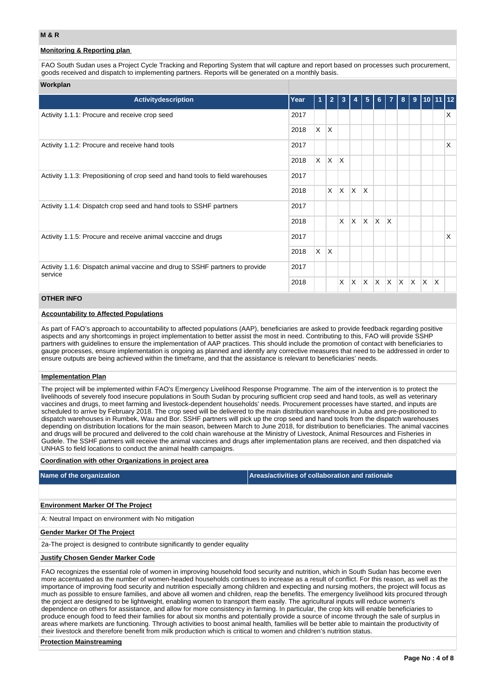## **Monitoring & Reporting plan**

FAO South Sudan uses a Project Cycle Tracking and Reporting System that will capture and report based on processes such procurement, goods received and dispatch to implementing partners. Reports will be generated on a monthly basis.

## **Workplan**

| <b>Activitydescription</b>                                                              | Year         | 1        | $\overline{2}$ |              |   | 5                       | 6  |              | 8  | 9            | 10                      | 11 12 |    |
|-----------------------------------------------------------------------------------------|--------------|----------|----------------|--------------|---|-------------------------|----|--------------|----|--------------|-------------------------|-------|----|
| Activity 1.1.1: Procure and receive crop seed                                           | 2017         |          |                |              |   |                         |    |              |    |              |                         |       | X. |
|                                                                                         | 2018         | X        | ΙX.            |              |   |                         |    |              |    |              |                         |       |    |
| Activity 1.1.2: Procure and receive hand tools                                          | 2017         |          |                |              |   |                         |    |              |    |              |                         |       | X  |
|                                                                                         | 2018         | $\times$ | $\mathsf{X}$   | $\mathsf{X}$ |   |                         |    |              |    |              |                         |       |    |
| Activity 1.1.3: Prepositioning of crop seed and hand tools to field warehouses          | 2017<br>2018 |          |                |              |   |                         |    |              |    |              |                         |       |    |
|                                                                                         |              |          | X.             | $\mathsf{X}$ | X | ΙX                      |    |              |    |              |                         |       |    |
| Activity 1.1.4: Dispatch crop seed and hand tools to SSHF partners                      | 2017         |          |                |              |   |                         |    |              |    |              |                         |       |    |
|                                                                                         | 2018         |          |                | X            | X | ΙX.                     | ΙX | $\mathsf{X}$ |    |              |                         |       |    |
| Activity 1.1.5: Procure and receive animal vacccine and drugs                           | 2017         |          |                |              |   |                         |    |              |    |              |                         |       | X  |
|                                                                                         | 2018         | $\times$ | Ιx.            |              |   |                         |    |              |    |              |                         |       |    |
| Activity 1.1.6: Dispatch animal vaccine and drug to SSHF partners to provide<br>service | 2017         |          |                |              |   |                         |    |              |    |              |                         |       |    |
|                                                                                         | 2018         |          |                | X            | X | $\overline{\mathsf{x}}$ | ΙX | IX.          | X. | <sup>X</sup> | $\overline{\mathsf{x}}$ | X     |    |

## **OTHER INFO**

#### **Accountability to Affected Populations**

As part of FAO's approach to accountability to affected populations (AAP), beneficiaries are asked to provide feedback regarding positive aspects and any shortcomings in project implementation to better assist the most in need. Contributing to this, FAO will provide SSHP partners with guidelines to ensure the implementation of AAP practices. This should include the promotion of contact with beneficiaries to gauge processes, ensure implementation is ongoing as planned and identify any corrective measures that need to be addressed in order to ensure outputs are being achieved within the timeframe, and that the assistance is relevant to beneficiaries' needs.

#### **Implementation Plan**

The project will be implemented within FAO's Emergency Livelihood Response Programme. The aim of the intervention is to protect the livelihoods of severely food insecure populations in South Sudan by procuring sufficient crop seed and hand tools, as well as veterinary vaccines and drugs, to meet farming and livestock-dependent households' needs. Procurement processes have started, and inputs are scheduled to arrive by February 2018. The crop seed will be delivered to the main distribution warehouse in Juba and pre-positioned to dispatch warehouses in Rumbek, Wau and Bor. SSHF partners will pick up the crop seed and hand tools from the dispatch warehouses depending on distribution locations for the main season, between March to June 2018, for distribution to beneficiaries. The animal vaccines and drugs will be procured and delivered to the cold chain warehouse at the Ministry of Livestock, Animal Resources and Fisheries in Gudele. The SSHF partners will receive the animal vaccines and drugs after implementation plans are received, and then dispatched via UNHAS to field locations to conduct the animal health campaigns.

### **Coordination with other Organizations in project area**

| Name of the organization                 | Areas/activities of collaboration and rationale |
|------------------------------------------|-------------------------------------------------|
|                                          |                                                 |
| <b>Environment Marker Of The Project</b> |                                                 |

A: Neutral Impact on environment with No mitigation

#### **Gender Marker Of The Project**

2a-The project is designed to contribute significantly to gender equality

#### **Justify Chosen Gender Marker Code**

FAO recognizes the essential role of women in improving household food security and nutrition, which in South Sudan has become even more accentuated as the number of women-headed households continues to increase as a result of conflict. For this reason, as well as the importance of improving food security and nutrition especially among children and expecting and nursing mothers, the project will focus as much as possible to ensure families, and above all women and children, reap the benefits. The emergency livelihood kits procured through the project are designed to be lightweight, enabling women to transport them easily. The agricultural inputs will reduce women's dependence on others for assistance, and allow for more consistency in farming. In particular, the crop kits will enable beneficiaries to produce enough food to feed their families for about six months and potentially provide a source of income through the sale of surplus in areas where markets are functioning. Through activities to boost animal health, families will be better able to maintain the productivity of their livestock and therefore benefit from milk production which is critical to women and children's nutrition status.

### **Protection Mainstreaming**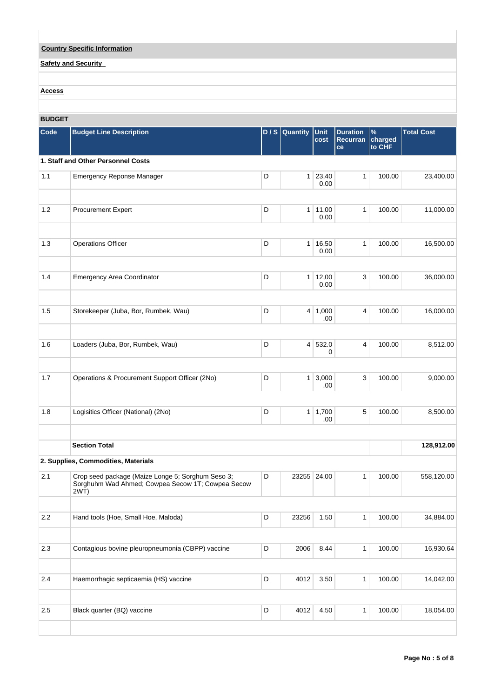| <b>Country Specific Information</b> |
|-------------------------------------|
| <b>Safety and Security</b>          |
|                                     |
|                                     |
| <b>Access</b>                       |

## **BUDGET**

| Code | <b>Budget Line Description</b>                                                                                |             | $D / S$ Quantity | Unit<br>cost          | <b>Duration</b><br>Recurran<br>ce | %<br>charged<br>to CHF | <b>Total Cost</b> |
|------|---------------------------------------------------------------------------------------------------------------|-------------|------------------|-----------------------|-----------------------------------|------------------------|-------------------|
|      | 1. Staff and Other Personnel Costs                                                                            |             |                  |                       |                                   |                        |                   |
| 1.1  | <b>Emergency Reponse Manager</b>                                                                              | D           | 1                | 23,40<br>0.00         | $\mathbf{1}$                      | 100.00                 | 23,400.00         |
| 1.2  | Procurement Expert                                                                                            | D           |                  | 1 11,00<br>0.00       | 1                                 | 100.00                 | 11,000.00         |
| 1.3  | <b>Operations Officer</b>                                                                                     | D           |                  | 1   16,50<br>0.00     | 1                                 | 100.00                 | 16,500.00         |
| 1.4  | <b>Emergency Area Coordinator</b>                                                                             | D           |                  | 1 12,00<br>0.00       | 3                                 | 100.00                 | 36,000.00         |
| 1.5  | Storekeeper (Juba, Bor, Rumbek, Wau)                                                                          | D           |                  | $4 \mid 1,000$<br>.00 | 4                                 | 100.00                 | 16,000.00         |
| 1.6  | Loaders (Juba, Bor, Rumbek, Wau)                                                                              | D           |                  | 4 532.0<br>0          | 4                                 | 100.00                 | 8,512.00          |
| 1.7  | Operations & Procurement Support Officer (2No)                                                                | D           | 1 <sup>1</sup>   | 3,000<br>.00          | 3                                 | 100.00                 | 9,000.00          |
| 1.8  | Logisitics Officer (National) (2No)                                                                           | D           |                  | 1   1,700<br>.00.     | 5                                 | 100.00                 | 8,500.00          |
|      | <b>Section Total</b>                                                                                          |             |                  |                       |                                   |                        | 128,912.00        |
|      | 2. Supplies, Commodities, Materials                                                                           |             |                  |                       |                                   |                        |                   |
| 2.1  | Crop seed package (Maize Longe 5; Sorghum Seso 3;<br>Sorghuhm Wad Ahmed; Cowpea Secow 1T; Cowpea Secow<br>2WT | D           |                  | 23255 24.00           | 1                                 | 100.00                 | 558,120.00        |
| 2.2  | Hand tools (Hoe, Small Hoe, Maloda)                                                                           | D           | 23256            | 1.50                  | $\mathbf{1}$                      | 100.00                 | 34,884.00         |
| 2.3  | Contagious bovine pleuropneumonia (CBPP) vaccine                                                              | $\mathsf D$ | 2006             | 8.44                  | $\mathbf{1}$                      | 100.00                 | 16,930.64         |
| 2.4  | Haemorrhagic septicaemia (HS) vaccine                                                                         | D           | 4012             | 3.50                  | $\mathbf{1}$                      | 100.00                 | 14,042.00         |
| 2.5  | Black quarter (BQ) vaccine                                                                                    | D           | 4012             | 4.50                  | $\mathbf{1}$                      | 100.00                 | 18,054.00         |
|      |                                                                                                               |             |                  |                       |                                   |                        |                   |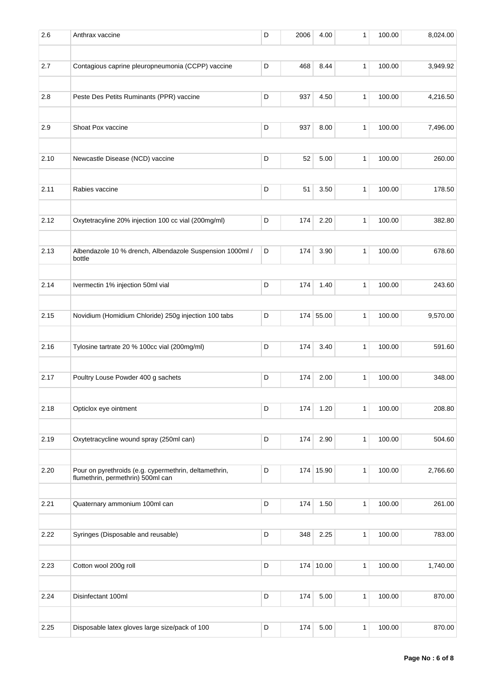| 2.6  | Anthrax vaccine                                                                            | D | 2006 | 4.00      | 1            | 100.00 | 8,024.00 |
|------|--------------------------------------------------------------------------------------------|---|------|-----------|--------------|--------|----------|
| 2.7  | Contagious caprine pleuropneumonia (CCPP) vaccine                                          | D | 468  | 8.44      | 1            | 100.00 | 3,949.92 |
| 2.8  | Peste Des Petits Ruminants (PPR) vaccine                                                   | D | 937  | 4.50      | 1            | 100.00 | 4,216.50 |
| 2.9  | Shoat Pox vaccine                                                                          | D | 937  | 8.00      | 1            | 100.00 | 7,496.00 |
| 2.10 | Newcastle Disease (NCD) vaccine                                                            | D | 52   | 5.00      | $\mathbf{1}$ | 100.00 | 260.00   |
| 2.11 | Rabies vaccine                                                                             | D | 51   | 3.50      | 1            | 100.00 | 178.50   |
| 2.12 | Oxytetracyline 20% injection 100 cc vial (200mg/ml)                                        | D | 174  | 2.20      | $\mathbf{1}$ | 100.00 | 382.80   |
| 2.13 | Albendazole 10 % drench, Albendazole Suspension 1000ml /<br>bottle                         | D | 174  | 3.90      | 1            | 100.00 | 678.60   |
| 2.14 | Ivermectin 1% injection 50ml vial                                                          | D | 174  | 1.40      | 1            | 100.00 | 243.60   |
| 2.15 | Novidium (Homidium Chloride) 250g injection 100 tabs                                       | D |      | 174 55.00 | 1            | 100.00 | 9,570.00 |
| 2.16 | Tylosine tartrate 20 % 100cc vial (200mg/ml)                                               | D | 174  | 3.40      | 1            | 100.00 | 591.60   |
| 2.17 | Poultry Louse Powder 400 g sachets                                                         | D | 174  | 2.00      | $\mathbf{1}$ | 100.00 | 348.00   |
| 2.18 | Opticlox eye ointment                                                                      | D | 174  | 1.20      | 1            | 100.00 | 208.80   |
| 2.19 | Oxytetracycline wound spray (250ml can)                                                    | D | 174  | 2.90      | $\mathbf{1}$ | 100.00 | 504.60   |
| 2.20 | Pour on pyrethroids (e.g. cypermethrin, deltamethrin,<br>flumethrin, permethrin) 500ml can | D |      | 174 15.90 | 1            | 100.00 | 2,766.60 |
| 2.21 | Quaternary ammonium 100ml can                                                              | D | 174  | 1.50      | $\mathbf{1}$ | 100.00 | 261.00   |
| 2.22 | Syringes (Disposable and reusable)                                                         | D | 348  | 2.25      | $\mathbf{1}$ | 100.00 | 783.00   |
| 2.23 | Cotton wool 200g roll                                                                      | D |      | 174 10.00 | 1            | 100.00 | 1,740.00 |
| 2.24 | Disinfectant 100ml                                                                         | D | 174  | 5.00      | $\mathbf{1}$ | 100.00 | 870.00   |
| 2.25 | Disposable latex gloves large size/pack of 100                                             | D | 174  | 5.00      | 1            | 100.00 | 870.00   |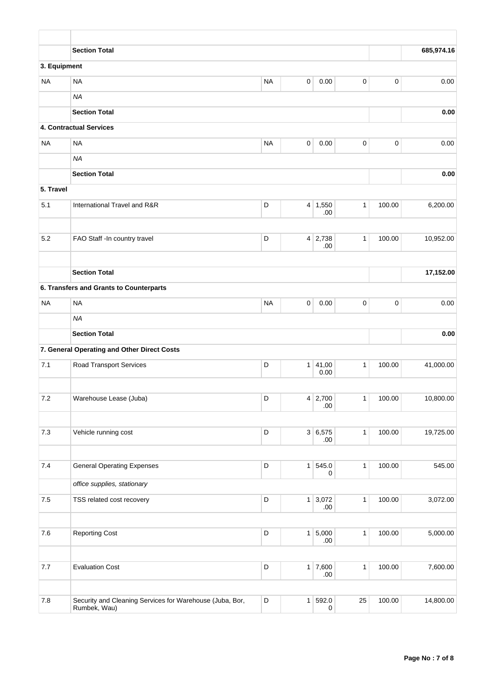|              | <b>Section Total</b>                                                     |             |   |                |                |        | 685,974.16 |
|--------------|--------------------------------------------------------------------------|-------------|---|----------------|----------------|--------|------------|
| 3. Equipment |                                                                          |             |   |                |                |        |            |
| <b>NA</b>    | <b>NA</b>                                                                | <b>NA</b>   | 0 | 0.00           | 0              | 0      | 0.00       |
|              | <b>NA</b>                                                                |             |   |                |                |        |            |
|              | <b>Section Total</b>                                                     |             |   |                |                |        | 0.00       |
|              | 4. Contractual Services                                                  |             |   |                |                |        |            |
| <b>NA</b>    | <b>NA</b>                                                                | <b>NA</b>   | 0 | 0.00           | 0              | 0      | 0.00       |
|              | <b>NA</b>                                                                |             |   |                |                |        |            |
|              | <b>Section Total</b>                                                     |             |   |                |                |        | 0.00       |
| 5. Travel    |                                                                          |             |   |                |                |        |            |
| 5.1          | International Travel and R&R                                             | D           |   | $4 \mid 1,550$ | $\mathbf{1}$   | 100.00 | 6,200.00   |
|              |                                                                          |             |   | .00            |                |        |            |
| 5.2          | FAO Staff -In country travel                                             | D           |   | $4 \mid 2,738$ | $\mathbf{1}$   | 100.00 | 10,952.00  |
|              |                                                                          |             |   | .00            |                |        |            |
|              |                                                                          |             |   |                |                |        |            |
|              | <b>Section Total</b>                                                     |             |   |                |                |        | 17,152.00  |
|              | 6. Transfers and Grants to Counterparts                                  |             |   |                |                |        |            |
| <b>NA</b>    | <b>NA</b>                                                                | <b>NA</b>   | 0 | 0.00           | 0              | 0      | 0.00       |
|              | <b>NA</b>                                                                |             |   |                |                |        |            |
|              | <b>Section Total</b>                                                     |             |   |                |                |        | 0.00       |
|              | 7. General Operating and Other Direct Costs                              |             |   |                |                |        |            |
| 7.1          | <b>Road Transport Services</b>                                           | D           | 1 | 41,00<br>0.00  | $\mathbf{1}$   | 100.00 | 41,000.00  |
|              |                                                                          |             |   |                |                |        |            |
| 7.2          | Warehouse Lease (Juba)                                                   | D           |   | $4 \mid 2,700$ | $\mathbf{1}$   | 100.00 | 10,800.00  |
|              |                                                                          |             |   | .00.           |                |        |            |
| 7.3          | Vehicle running cost                                                     | D           |   | 3 6,575        | $\overline{1}$ | 100.00 | 19,725.00  |
|              |                                                                          |             |   | .00.           |                |        |            |
|              |                                                                          |             |   |                |                |        |            |
| 7.4          | <b>General Operating Expenses</b>                                        | D           | 1 | 545.0<br>0     | $\mathbf{1}$   | 100.00 | 545.00     |
|              | office supplies, stationary                                              |             |   |                |                |        |            |
| $7.5\,$      | TSS related cost recovery                                                | D           | 1 | 3,072<br>.00.  | $\mathbf{1}$   | 100.00 | 3,072.00   |
|              |                                                                          |             |   |                |                |        |            |
| 7.6          | <b>Reporting Cost</b>                                                    | $\mathsf D$ |   | 1 5,000        | $\mathbf{1}$   | 100.00 | 5,000.00   |
|              |                                                                          |             |   | .00.           |                |        |            |
| $7.7\,$      | <b>Evaluation Cost</b>                                                   | D           |   | $1 \mid 7,600$ | $\mathbf{1}$   | 100.00 | 7,600.00   |
|              |                                                                          |             |   | .00.           |                |        |            |
|              |                                                                          |             |   |                |                |        |            |
| 7.8          | Security and Cleaning Services for Warehouse (Juba, Bor,<br>Rumbek, Wau) | D           | 1 | 592.0<br>0     | 25             | 100.00 | 14,800.00  |